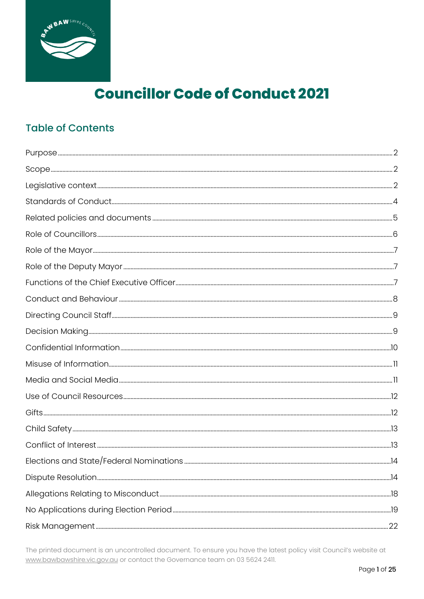

# **Councillor Code of Conduct 2021**

# **Table of Contents**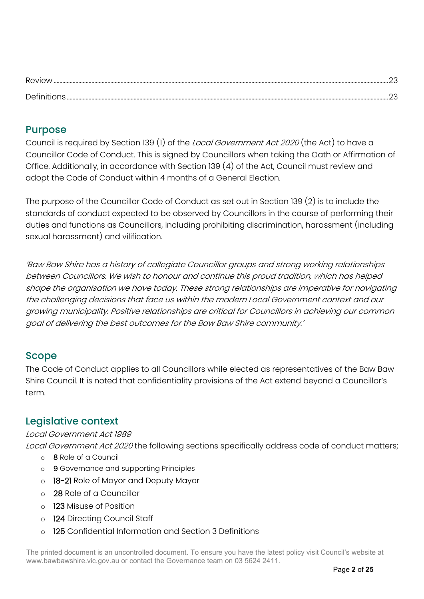| Review |  |
|--------|--|
| ∩of∟   |  |

### <span id="page-1-0"></span>Purpose

Council is required by Section 139 (1) of the *Local Government Act 2020* (the Act) to have a Councillor Code of Conduct. This is signed by Councillors when taking the Oath or Affirmation of Office. Additionally, in accordance with Section 139 (4) of the Act, Council must review and adopt the Code of Conduct within 4 months of a General Election.

The purpose of the Councillor Code of Conduct as set out in Section 139 (2) is to include the standards of conduct expected to be observed by Councillors in the course of performing their duties and functions as Councillors, including prohibiting discrimination, harassment (including sexual harassment) and vilification.

'Baw Baw Shire has a history of collegiate Councillor groups and strong working relationships between Councillors. We wish to honour and continue this proud tradition, which has helped shape the organisation we have today. These strong relationships are imperative for navigating the challenging decisions that face us within the modern Local Government context and our growing municipality. Positive relationships are critical for Councillors in achieving our common goal of delivering the best outcomes for the Baw Baw Shire community.'

# <span id="page-1-1"></span>Scope

The Code of Conduct applies to all Councillors while elected as representatives of the Baw Baw Shire Council. It is noted that confidentiality provisions of the Act extend beyond a Councillor's term.

# <span id="page-1-2"></span>Legislative context

### Local Government Act 1989

Local Government Act 2020 the following sections specifically address code of conduct matters;

- o 8 Role of a Council
- o 9 Governance and supporting Principles
- o 18-21 Role of Mayor and Deputy Mayor
- o 28 Role of a Councillor
- o 123 Misuse of Position
- o 124 Directing Council Staff
- o 125 Confidential Information and Section 3 Definitions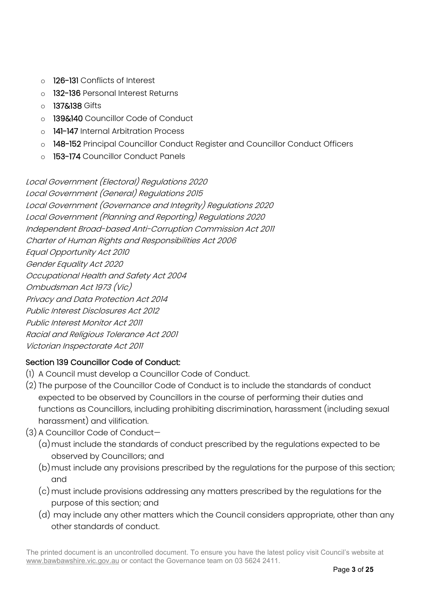- o 126-131 Conflicts of Interest
- o 132-136 Personal Interest Returns
- o **137&138** Gifts
- o 139&140 Councillor Code of Conduct
- o 141-147 Internal Arbitration Process
- o 148-152 Principal Councillor Conduct Register and Councillor Conduct Officers
- o 153-174 Councillor Conduct Panels

Local Government (Electoral) Regulations 2020 Local Government (General) Regulations 2015 Local Government (Governance and Integrity) Regulations 2020 Local Government (Planning and Reporting) Regulations 2020 Independent Broad-based Anti-Corruption Commission Act 2011 Charter of Human Rights and Responsibilities Act 2006 Equal Opportunity Act 2010 Gender Equality Act 2020 Occupational Health and Safety Act 2004 Ombudsman Act 1973 (Vic) Privacy and Data Protection Act 2014 Public Interest Disclosures Act 2012 Public Interest Monitor Act 2011 Racial and Religious Tolerance Act 2001 Victorian Inspectorate Act 2011

### Section 139 Councillor Code of Conduct:

- (1) A Council must develop a Councillor Code of Conduct.
- (2) The purpose of the Councillor Code of Conduct is to include the standards of conduct expected to be observed by Councillors in the course of performing their duties and functions as Councillors, including prohibiting discrimination, harassment (including sexual harassment) and vilification.
- (3) A Councillor Code of Conduct—
	- (a)must include the standards of conduct prescribed by the regulations expected to be observed by Councillors; and
	- (b)must include any provisions prescribed by the regulations for the purpose of this section; and
	- (c) must include provisions addressing any matters prescribed by the regulations for the purpose of this section; and
	- (d) may include any other matters which the Council considers appropriate, other than any other standards of conduct.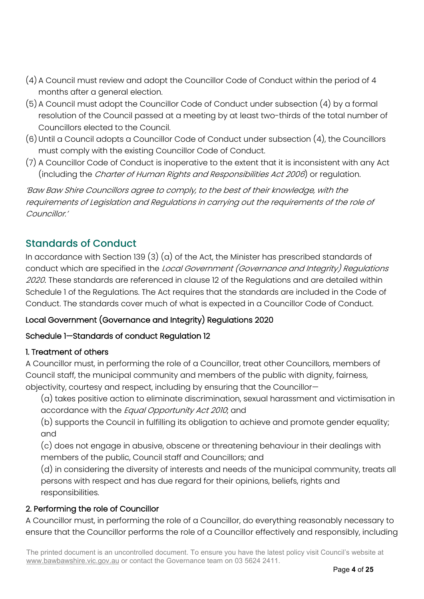- (4) A Council must review and adopt the Councillor Code of Conduct within the period of 4 months after a general election.
- (5) A Council must adopt the Councillor Code of Conduct under subsection (4) by a formal resolution of the Council passed at a meeting by at least two-thirds of the total number of Councillors elected to the Council.
- $(6)$  Until a Council adopts a Councillor Code of Conduct under subsection  $(4)$ , the Councillors must comply with the existing Councillor Code of Conduct.
- (7) A Councillor Code of Conduct is inoperative to the extent that it is inconsistent with any Act (including the Charter of Human Rights and Responsibilities Act 2006) or regulation.

'Baw Baw Shire Councillors agree to comply, to the best of their knowledge, with the requirements of Legislation and Regulations in carrying out the requirements of the role of Councillor.'

# <span id="page-3-0"></span>Standards of Conduct

In accordance with Section 139  $(3)$   $(a)$  of the Act, the Minister has prescribed standards of conduct which are specified in the *Local Government (Governance and Integrity) Regulations* 2020. These standards are referenced in clause 12 of the Regulations and are detailed within Schedule 1 of the Regulations. The Act requires that the standards are included in the Code of Conduct. The standards cover much of what is expected in a Councillor Code of Conduct.

### Local Government (Governance and Integrity) Regulations 2020

### Schedule 1—Standards of conduct Regulation 12

### 1. Treatment of others

A Councillor must, in performing the role of a Councillor, treat other Councillors, members of Council staff, the municipal community and members of the public with dignity, fairness, objectivity, courtesy and respect, including by ensuring that the Councillor—

(a) takes positive action to eliminate discrimination, sexual harassment and victimisation in accordance with the *Equal Opportunity Act 2010*; and

(b) supports the Council in fulfilling its obligation to achieve and promote gender equality; and

(c) does not engage in abusive, obscene or threatening behaviour in their dealings with members of the public, Council staff and Councillors; and

(d) in considering the diversity of interests and needs of the municipal community, treats all persons with respect and has due regard for their opinions, beliefs, rights and responsibilities.

### 2. Performing the role of Councillor

A Councillor must, in performing the role of a Councillor, do everything reasonably necessary to ensure that the Councillor performs the role of a Councillor effectively and responsibly, including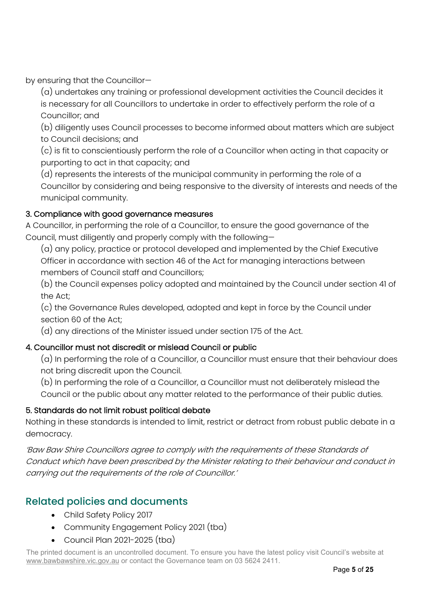by ensuring that the Councillor—

(a) undertakes any training or professional development activities the Council decides it is necessary for all Councillors to undertake in order to effectively perform the role of a Councillor; and

(b) diligently uses Council processes to become informed about matters which are subject to Council decisions; and

(c) is fit to conscientiously perform the role of a Councillor when acting in that capacity or purporting to act in that capacity; and

(d) represents the interests of the municipal community in performing the role of a Councillor by considering and being responsive to the diversity of interests and needs of the municipal community.

### 3. Compliance with good governance measures

A Councillor, in performing the role of a Councillor, to ensure the good governance of the Council, must diligently and properly comply with the following—

(a) any policy, practice or protocol developed and implemented by the Chief Executive Officer in accordance with section 46 of the Act for managing interactions between members of Council staff and Councillors;

(b) the Council expenses policy adopted and maintained by the Council under section 41 of the Act;

(c) the Governance Rules developed, adopted and kept in force by the Council under section 60 of the Act;

(d) any directions of the Minister issued under section 175 of the Act.

### 4. Councillor must not discredit or mislead Council or public

(a) In performing the role of a Councillor, a Councillor must ensure that their behaviour does not bring discredit upon the Council.

(b) In performing the role of a Councillor, a Councillor must not deliberately mislead the Council or the public about any matter related to the performance of their public duties.

### 5. Standards do not limit robust political debate

Nothing in these standards is intended to limit, restrict or detract from robust public debate in a democracy.

'Baw Baw Shire Councillors agree to comply with the requirements of these Standards of Conduct which have been prescribed by the Minister relating to their behaviour and conduct in carrying out the requirements of the role of Councillor.'

### <span id="page-4-0"></span>Related policies and documents

- Child Safety Policy 2017
- Community Engagement Policy 2021 (tba)
- Council Plan 2021-2025 (tba)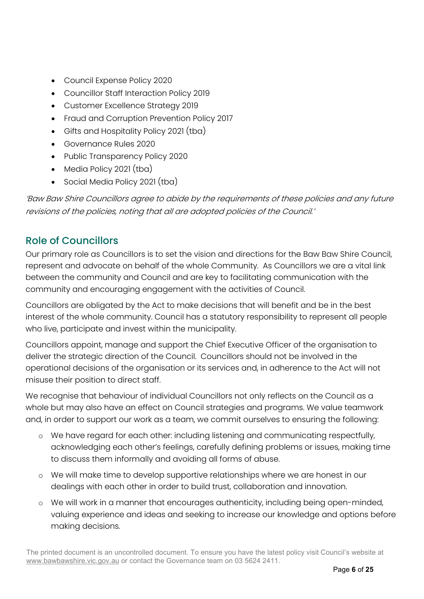- Council Expense Policy 2020
- Councillor Staff Interaction Policy 2019
- Customer Excellence Strategy 2019
- Fraud and Corruption Prevention Policy 2017
- Gifts and Hospitality Policy 2021 (tba)
- Governance Rules 2020
- Public Transparency Policy 2020
- Media Policy 2021 (tba)
- Social Media Policy 2021 (tba)

'Baw Baw Shire Councillors agree to abide by the requirements of these policies and any future revisions of the policies, noting that all are adopted policies of the Council.'

### <span id="page-5-0"></span>Role of Councillors

Our primary role as Councillors is to set the vision and directions for the Baw Baw Shire Council, represent and advocate on behalf of the whole Community. As Councillors we are a vital link between the community and Council and are key to facilitating communication with the community and encouraging engagement with the activities of Council.

Councillors are obligated by the Act to make decisions that will benefit and be in the best interest of the whole community. Council has a statutory responsibility to represent all people who live, participate and invest within the municipality.

Councillors appoint, manage and support the Chief Executive Officer of the organisation to deliver the strategic direction of the Council. Councillors should not be involved in the operational decisions of the organisation or its services and, in adherence to the Act will not misuse their position to direct staff.

We recognise that behaviour of individual Councillors not only reflects on the Council as a whole but may also have an effect on Council strategies and programs. We value teamwork and, in order to support our work as a team, we commit ourselves to ensuring the following:

- o We have regard for each other: including listening and communicating respectfully, acknowledging each other's feelings, carefully defining problems or issues, making time to discuss them informally and avoiding all forms of abuse.
- o We will make time to develop supportive relationships where we are honest in our dealings with each other in order to build trust, collaboration and innovation.
- o We will work in a manner that encourages authenticity, including being open-minded, valuing experience and ideas and seeking to increase our knowledge and options before making decisions.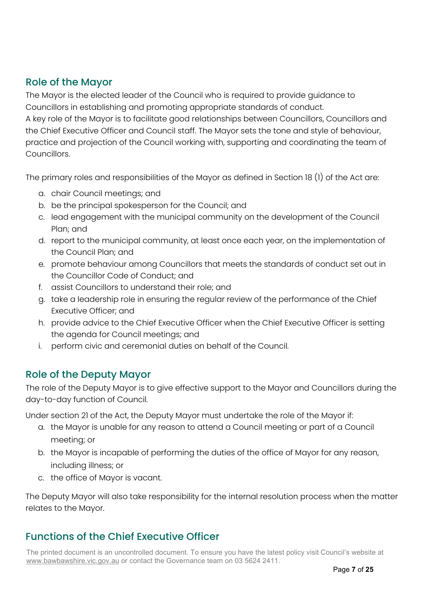# <span id="page-6-0"></span>Role of the Mayor

The Mayor is the elected leader of the Council who is required to provide guidance to Councillors in establishing and promoting appropriate standards of conduct.

A key role of the Mayor is to facilitate good relationships between Councillors, Councillors and the Chief Executive Officer and Council staff. The Mayor sets the tone and style of behaviour, practice and projection of the Council working with, supporting and coordinating the team of Councillors.

The primary roles and responsibilities of the Mayor as defined in Section 18 (1) of the Act are:

- a. chair Council meetings; and
- b. be the principal spokesperson for the Council; and
- c. lead engagement with the municipal community on the development of the Council Plan; and
- d. report to the municipal community, at least once each year, on the implementation of the Council Plan; and
- e. promote behaviour among Councillors that meets the standards of conduct set out in the Councillor Code of Conduct; and
- f. assist Councillors to understand their role; and
- g. take a leadership role in ensuring the regular review of the performance of the Chief Executive Officer; and
- h. provide advice to the Chief Executive Officer when the Chief Executive Officer is setting the agenda for Council meetings; and
- i. perform civic and ceremonial duties on behalf of the Council.

# <span id="page-6-1"></span>Role of the Deputy Mayor

The role of the Deputy Mayor is to give effective support to the Mayor and Councillors during the day-to-day function of Council.

Under section 21 of the Act, the Deputy Mayor must undertake the role of the Mayor if:

- a. the Mayor is unable for any reason to attend a Council meeting or part of a Council meeting; or
- b. the Mayor is incapable of performing the duties of the office of Mayor for any reason, including illness; or
- c. the office of Mayor is vacant.

The Deputy Mayor will also take responsibility for the internal resolution process when the matter relates to the Mayor.

# <span id="page-6-2"></span>Functions of the Chief Executive Officer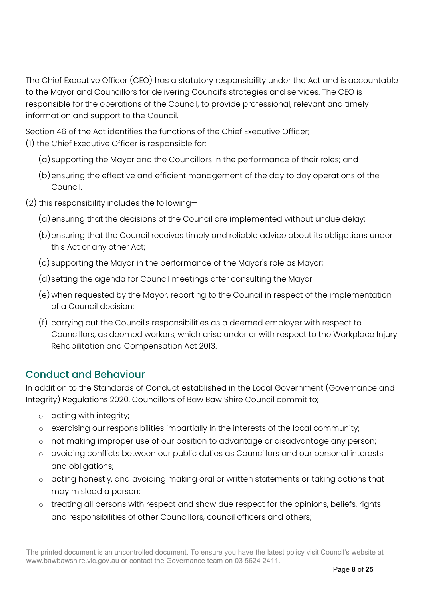The Chief Executive Officer (CEO) has a statutory responsibility under the Act and is accountable to the Mayor and Councillors for delivering Council's strategies and services. The CEO is responsible for the operations of the Council, to provide professional, relevant and timely information and support to the Council.

Section 46 of the Act identifies the functions of the Chief Executive Officer; (1) the Chief Executive Officer is responsible for:

- (a)supporting the Mayor and the Councillors in the performance of their roles; and
- (b)ensuring the effective and efficient management of the day to day operations of the Council.
- (2) this responsibility includes the following—
	- (a)ensuring that the decisions of the Council are implemented without undue delay;
	- (b)ensuring that the Council receives timely and reliable advice about its obligations under this Act or any other Act;
	- (c) supporting the Mayor in the performance of the Mayor's role as Mayor;
	- (d)setting the agenda for Council meetings after consulting the Mayor
	- (e) when requested by the Mayor, reporting to the Council in respect of the implementation of a Council decision;
	- (f) carrying out the Council's responsibilities as a deemed employer with respect to Councillors, as deemed workers, which arise under or with respect to the Workplace Injury Rehabilitation and Compensation Act 2013.

# <span id="page-7-0"></span>Conduct and Behaviour

In addition to the Standards of Conduct established in the Local Government (Governance and Integrity) Regulations 2020, Councillors of Baw Baw Shire Council commit to;

- o acting with integrity;
- o exercising our responsibilities impartially in the interests of the local community;
- o not making improper use of our position to advantage or disadvantage any person;
- o avoiding conflicts between our public duties as Councillors and our personal interests and obligations;
- o acting honestly, and avoiding making oral or written statements or taking actions that may mislead a person;
- o treating all persons with respect and show due respect for the opinions, beliefs, rights and responsibilities of other Councillors, council officers and others;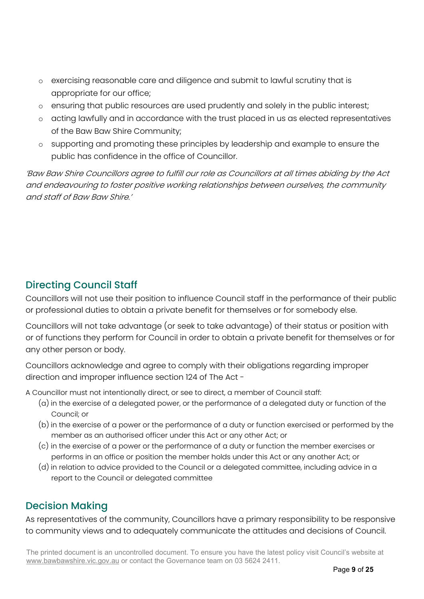- o exercising reasonable care and diligence and submit to lawful scrutiny that is appropriate for our office;
- o ensuring that public resources are used prudently and solely in the public interest;
- o acting lawfully and in accordance with the trust placed in us as elected representatives of the Baw Baw Shire Community;
- o supporting and promoting these principles by leadership and example to ensure the public has confidence in the office of Councillor.

'Baw Baw Shire Councillors agree to fulfill our role as Councillors at all times abiding by the Act and endeavouring to foster positive working relationships between ourselves, the community and staff of Baw Baw Shire.'

# <span id="page-8-0"></span>Directing Council Staff

Councillors will not use their position to influence Council staff in the performance of their public or professional duties to obtain a private benefit for themselves or for somebody else.

Councillors will not take advantage (or seek to take advantage) of their status or position with or of functions they perform for Council in order to obtain a private benefit for themselves or for any other person or body.

Councillors acknowledge and agree to comply with their obligations regarding improper direction and improper influence section 124 of The Act -

A Councillor must not intentionally direct, or see to direct, a member of Council staff:

- (a) in the exercise of a delegated power, or the performance of a delegated duty or function of the Council; or
- (b) in the exercise of a power or the performance of a duty or function exercised or performed by the member as an authorised officer under this Act or any other Act; or
- (c) in the exercise of a power or the performance of a duty or function the member exercises or performs in an office or position the member holds under this Act or any another Act; or
- (d) in relation to advice provided to the Council or a delegated committee, including advice in a report to the Council or delegated committee

# <span id="page-8-1"></span>Decision Making

As representatives of the community, Councillors have a primary responsibility to be responsive to community views and to adequately communicate the attitudes and decisions of Council.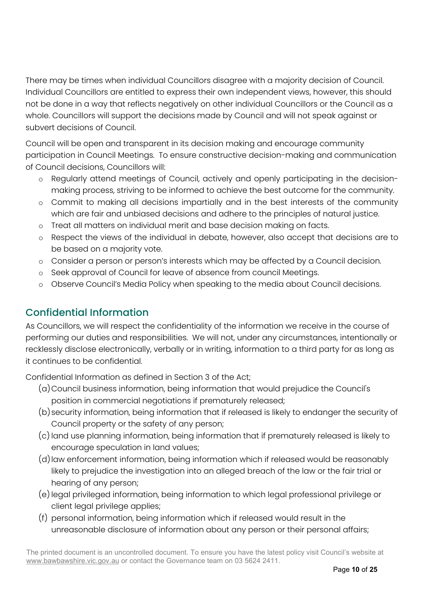There may be times when individual Councillors disagree with a majority decision of Council. Individual Councillors are entitled to express their own independent views, however, this should not be done in a way that reflects negatively on other individual Councillors or the Council as a whole. Councillors will support the decisions made by Council and will not speak against or subvert decisions of Council.

Council will be open and transparent in its decision making and encourage community participation in Council Meetings. To ensure constructive decision-making and communication of Council decisions, Councillors will:

- o Regularly attend meetings of Council, actively and openly participating in the decisionmaking process, striving to be informed to achieve the best outcome for the community.
- o Commit to making all decisions impartially and in the best interests of the community which are fair and unbiased decisions and adhere to the principles of natural justice.
- o Treat all matters on individual merit and base decision making on facts.
- o Respect the views of the individual in debate, however, also accept that decisions are to be based on a majority vote.
- o Consider a person or person's interests which may be affected by a Council decision.
- o Seek approval of Council for leave of absence from council Meetings.
- o Observe Council's Media Policy when speaking to the media about Council decisions.

# <span id="page-9-0"></span>Confidential Information

As Councillors, we will respect the confidentiality of the information we receive in the course of performing our duties and responsibilities. We will not, under any circumstances, intentionally or recklessly disclose electronically, verbally or in writing, information to a third party for as long as it continues to be confidential.

Confidential Information as defined in Section 3 of the Act;

- (a)Council business information, being information that would prejudice the Council's position in commercial negotiations if prematurely released;
- (b)security information, being information that if released is likely to endanger the security of Council property or the safety of any person;
- (c) land use planning information, being information that if prematurely released is likely to encourage speculation in land values;
- (d) law enforcement information, being information which if released would be reasonably likely to prejudice the investigation into an alleged breach of the law or the fair trial or hearing of any person;
- (e) legal privileged information, being information to which legal professional privilege or client legal privilege applies;
- (f) personal information, being information which if released would result in the unreasonable disclosure of information about any person or their personal affairs;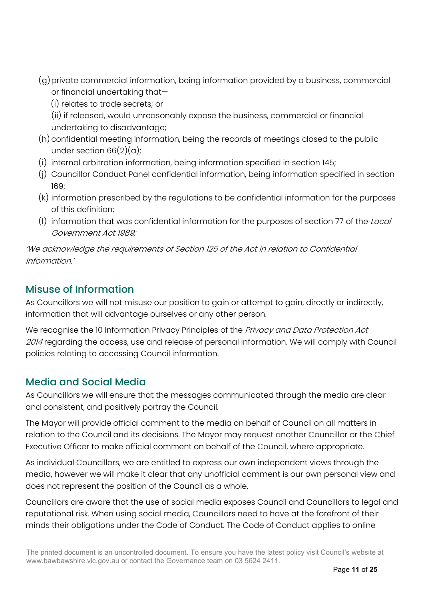- (g)private commercial information, being information provided by a business, commercial or financial undertaking that—
	- (i) relates to trade secrets; or
	- (ii) if released, would unreasonably expose the business, commercial or financial undertaking to disadvantage;
- (h) confidential meeting information, being the records of meetings closed to the public under section  $66(2)(a)$ ;
- (i) internal arbitration information, being information specified in section 145;
- (j) Councillor Conduct Panel confidential information, being information specified in section 169;
- (k) information prescribed by the regulations to be confidential information for the purposes of this definition;
- (l) information that was confidential information for the purposes of section 77 of the Local Government Act 1989;

'We acknowledge the requirements of Section 125 of the Act in relation to Confidential Information.'

# <span id="page-10-0"></span>Misuse of Information

As Councillors we will not misuse our position to gain or attempt to gain, directly or indirectly, information that will advantage ourselves or any other person.

We recognise the 10 Information Privacy Principles of the Privacy and Data Protection Act 2014 regarding the access, use and release of personal information. We will comply with Council policies relating to accessing Council information.

# <span id="page-10-1"></span>Media and Social Media

As Councillors we will ensure that the messages communicated through the media are clear and consistent, and positively portray the Council.

The Mayor will provide official comment to the media on behalf of Council on all matters in relation to the Council and its decisions. The Mayor may request another Councillor or the Chief Executive Officer to make official comment on behalf of the Council, where appropriate.

As individual Councillors, we are entitled to express our own independent views through the media, however we will make it clear that any unofficial comment is our own personal view and does not represent the position of the Council as a whole.

Councillors are aware that the use of social media exposes Council and Councillors to legal and reputational risk. When using social media, Councillors need to have at the forefront of their minds their obligations under the Code of Conduct. The Code of Conduct applies to online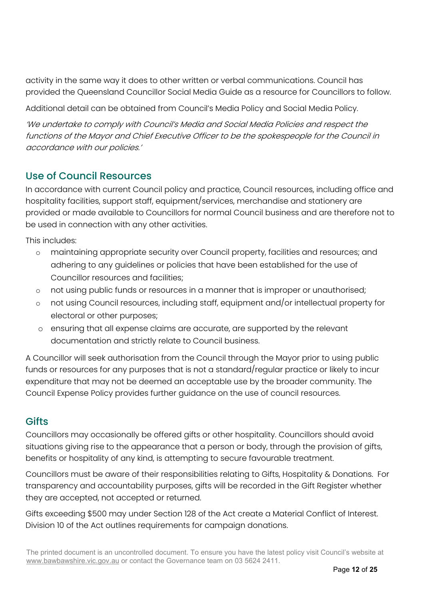activity in the same way it does to other written or verbal communications. Council has provided the Queensland Councillor Social Media Guide as a resource for Councillors to follow.

Additional detail can be obtained from Council's Media Policy and Social Media Policy.

'We undertake to comply with Council's Media and Social Media Policies and respect the functions of the Mayor and Chief Executive Officer to be the spokespeople for the Council in accordance with our policies.'

### <span id="page-11-0"></span>Use of Council Resources

In accordance with current Council policy and practice, Council resources, including office and hospitality facilities, support staff, equipment/services, merchandise and stationery are provided or made available to Councillors for normal Council business and are therefore not to be used in connection with any other activities.

This includes:

- o maintaining appropriate security over Council property, facilities and resources; and adhering to any guidelines or policies that have been established for the use of Councillor resources and facilities;
- o not using public funds or resources in a manner that is improper or unauthorised;
- o not using Council resources, including staff, equipment and/or intellectual property for electoral or other purposes;
- o ensuring that all expense claims are accurate, are supported by the relevant documentation and strictly relate to Council business.

A Councillor will seek authorisation from the Council through the Mayor prior to using public funds or resources for any purposes that is not a standard/regular practice or likely to incur expenditure that may not be deemed an acceptable use by the broader community. The Council Expense Policy provides further guidance on the use of council resources.

# <span id="page-11-1"></span>**Gifts**

Councillors may occasionally be offered gifts or other hospitality. Councillors should avoid situations giving rise to the appearance that a person or body, through the provision of gifts, benefits or hospitality of any kind, is attempting to secure favourable treatment.

Councillors must be aware of their responsibilities relating to Gifts, Hospitality & Donations. For transparency and accountability purposes, gifts will be recorded in the Gift Register whether they are accepted, not accepted or returned.

Gifts exceeding \$500 may under Section 128 of the Act create a Material Conflict of Interest. Division 10 of the Act outlines requirements for campaign donations.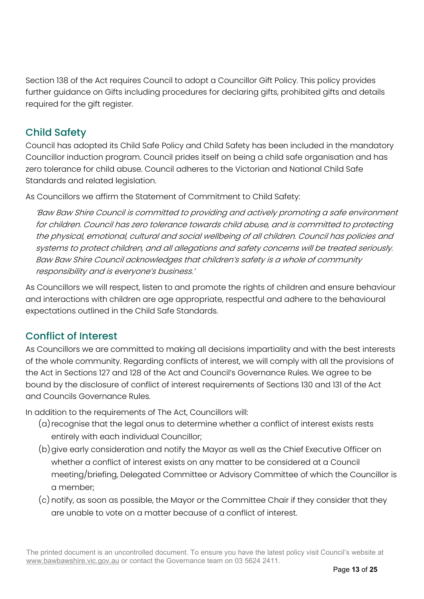Section 138 of the Act requires Council to adopt a Councillor Gift Policy. This policy provides further guidance on Gifts including procedures for declaring gifts, prohibited gifts and details required for the gift register.

# <span id="page-12-0"></span>Child Safety

Council has adopted its Child Safe Policy and Child Safety has been included in the mandatory Councillor induction program. Council prides itself on being a child safe organisation and has zero tolerance for child abuse. Council adheres to the Victorian and National Child Safe Standards and related legislation.

As Councillors we affirm the Statement of Commitment to Child Safety:

'Baw Baw Shire Council is committed to providing and actively promoting a safe environment for children. Council has zero tolerance towards child abuse, and is committed to protecting the physical, emotional, cultural and social wellbeing of all children. Council has policies and systems to protect children, and all allegations and safety concerns will be treated seriously. Baw Baw Shire Council acknowledges that children's safety is a whole of community responsibility and is everyone's business.'

As Councillors we will respect, listen to and promote the rights of children and ensure behaviour and interactions with children are age appropriate, respectful and adhere to the behavioural expectations outlined in the Child Safe Standards.

# <span id="page-12-1"></span>Conflict of Interest

As Councillors we are committed to making all decisions impartiality and with the best interests of the whole community. Regarding conflicts of interest, we will comply with all the provisions of the Act in Sections 127 and 128 of the Act and Council's Governance Rules. We agree to be bound by the disclosure of conflict of interest requirements of Sections 130 and 131 of the Act and Councils Governance Rules.

In addition to the requirements of The Act, Councillors will:

- (a) recognise that the legal onus to determine whether a conflict of interest exists rests entirely with each individual Councillor;
- (b)give early consideration and notify the Mayor as well as the Chief Executive Officer on whether a conflict of interest exists on any matter to be considered at a Council meeting/briefing, Delegated Committee or Advisory Committee of which the Councillor is a member;
- (c) notify, as soon as possible, the Mayor or the Committee Chair if they consider that they are unable to vote on a matter because of a conflict of interest.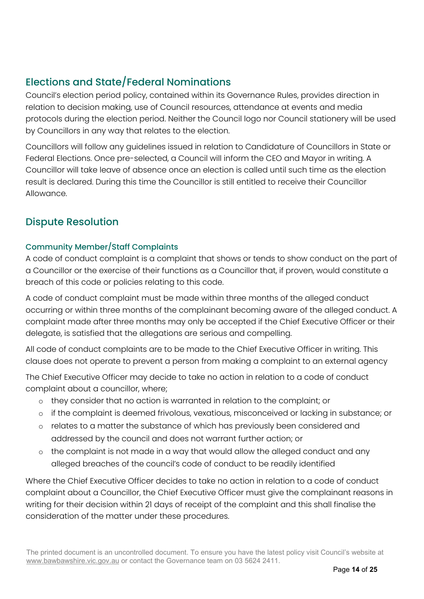# <span id="page-13-0"></span>Elections and State/Federal Nominations

Council's election period policy, contained within its Governance Rules, provides direction in relation to decision making, use of Council resources, attendance at events and media protocols during the election period. Neither the Council logo nor Council stationery will be used by Councillors in any way that relates to the election.

Councillors will follow any guidelines issued in relation to Candidature of Councillors in State or Federal Elections. Once pre-selected, a Council will inform the CEO and Mayor in writing. A Councillor will take leave of absence once an election is called until such time as the election result is declared. During this time the Councillor is still entitled to receive their Councillor Allowance.

# <span id="page-13-1"></span>Dispute Resolution

### Community Member/Staff Complaints

A code of conduct complaint is a complaint that shows or tends to show conduct on the part of a Councillor or the exercise of their functions as a Councillor that, if proven, would constitute a breach of this code or policies relating to this code.

A code of conduct complaint must be made within three months of the alleged conduct occurring or within three months of the complainant becoming aware of the alleged conduct. A complaint made after three months may only be accepted if the Chief Executive Officer or their delegate, is satisfied that the allegations are serious and compelling.

All code of conduct complaints are to be made to the Chief Executive Officer in writing. This clause does not operate to prevent a person from making a complaint to an external agency

The Chief Executive Officer may decide to take no action in relation to a code of conduct complaint about a councillor, where;

- o they consider that no action is warranted in relation to the complaint; or
- o if the complaint is deemed frivolous, vexatious, misconceived or lacking in substance; or
- o relates to a matter the substance of which has previously been considered and addressed by the council and does not warrant further action; or
- o the complaint is not made in a way that would allow the alleged conduct and any alleged breaches of the council's code of conduct to be readily identified

Where the Chief Executive Officer decides to take no action in relation to a code of conduct complaint about a Councillor, the Chief Executive Officer must give the complainant reasons in writing for their decision within 21 days of receipt of the complaint and this shall finalise the consideration of the matter under these procedures.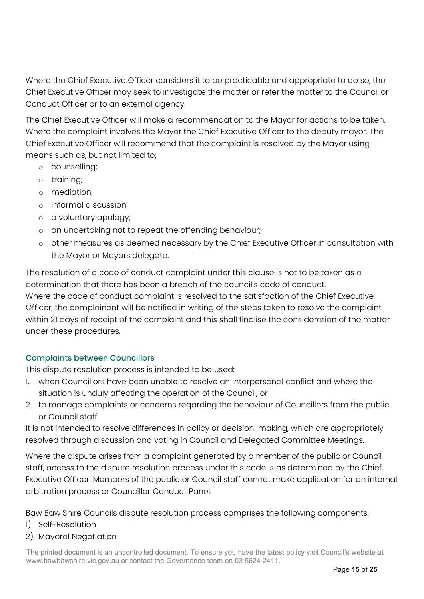Where the Chief Executive Officer considers it to be practicable and appropriate to do so, the Chief Executive Officer may seek to investigate the matter or refer the matter to the Councillor Conduct Officer or to an external agency.

The Chief Executive Officer will make a recommendation to the Mayor for actions to be taken. Where the complaint involves the Mayor the Chief Executive Officer to the deputy mayor. The Chief Executive Officer will recommend that the complaint is resolved by the Mayor using means such as, but not limited to;

- o counselling;
- o training;
- o mediation;
- o informal discussion;
- o a voluntary apology;
- o an undertaking not to repeat the offending behaviour;
- other measures as deemed necessary by the Chief Executive Officer in consultation with the Mayor or Mayors delegate.

The resolution of a code of conduct complaint under this clause is not to be taken as a determination that there has been a breach of the council's code of conduct. Where the code of conduct complaint is resolved to the satisfaction of the Chief Executive Officer, the complainant will be notified in writing of the steps taken to resolve the complaint within 21 days of receipt of the complaint and this shall finalise the consideration of the matter under these procedures.

#### Complaints between Councillors

This dispute resolution process is intended to be used:

- when Councillors have been unable to resolve an interpersonal conflict and where the situation is unduly affecting the operation of the Council; or
- 2. to manage complaints or concerns regarding the behaviour of Councillors from the public or Council staff.

It is not intended to resolve differences in policy or decision-making, which are appropriately resolved through discussion and voting in Council and Delegated Committee Meetings.

Where the dispute arises from a complaint generated by a member of the public or Council staff, access to the dispute resolution process under this code is as determined by the Chief Executive Officer. Members of the public or Council staff cannot make application for an internal arbitration process or Councillor Conduct Panel.

Baw Baw Shire Councils dispute resolution process comprises the following components:

- 1) Self-Resolution
- 2) Mayoral Negotiation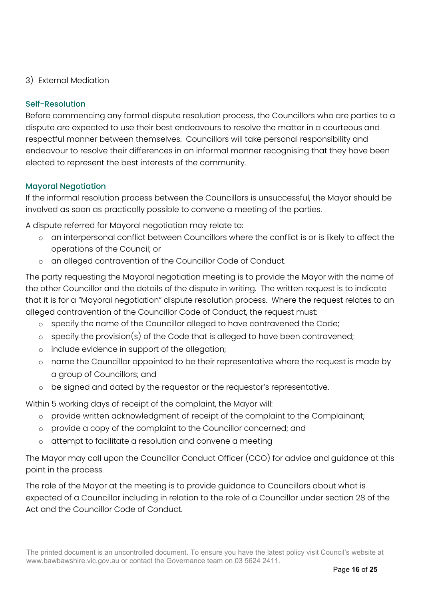#### 3) External Mediation

#### Self-Resolution

Before commencing any formal dispute resolution process, the Councillors who are parties to a dispute are expected to use their best endeavours to resolve the matter in a courteous and respectful manner between themselves. Councillors will take personal responsibility and endeavour to resolve their differences in an informal manner recognising that they have been elected to represent the best interests of the community.

#### Mayoral Negotiation

If the informal resolution process between the Councillors is unsuccessful, the Mayor should be involved as soon as practically possible to convene a meeting of the parties.

A dispute referred for Mayoral negotiation may relate to:

- o an interpersonal conflict between Councillors where the conflict is or is likely to affect the operations of the Council; or
- o an alleged contravention of the Councillor Code of Conduct.

The party requesting the Mayoral negotiation meeting is to provide the Mayor with the name of the other Councillor and the details of the dispute in writing. The written request is to indicate that it is for a "Mayoral negotiation" dispute resolution process. Where the request relates to an alleged contravention of the Councillor Code of Conduct, the request must:

- o specify the name of the Councillor alleged to have contravened the Code;
- o specify the provision(s) of the Code that is alleged to have been contravened;
- o include evidence in support of the allegation;
- o name the Councillor appointed to be their representative where the request is made by a group of Councillors; and
- o be signed and dated by the requestor or the requestor's representative.

Within 5 working days of receipt of the complaint, the Mayor will:

- o provide written acknowledgment of receipt of the complaint to the Complainant;
- o provide a copy of the complaint to the Councillor concerned; and
- o attempt to facilitate a resolution and convene a meeting

The Mayor may call upon the Councillor Conduct Officer (CCO) for advice and guidance at this point in the process.

The role of the Mayor at the meeting is to provide guidance to Councillors about what is expected of a Councillor including in relation to the role of a Councillor under section 28 of the Act and the Councillor Code of Conduct.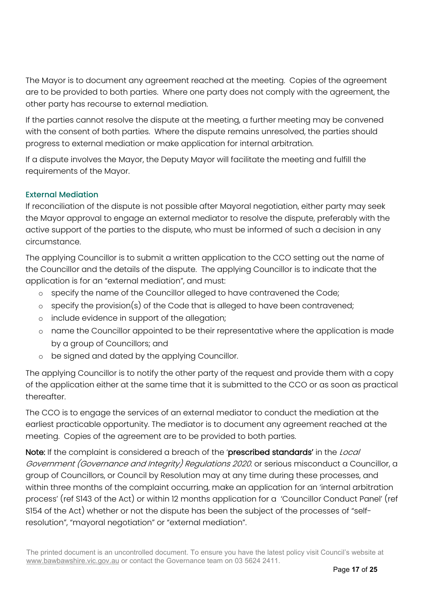The Mayor is to document any agreement reached at the meeting. Copies of the agreement are to be provided to both parties. Where one party does not comply with the agreement, the other party has recourse to external mediation.

If the parties cannot resolve the dispute at the meeting, a further meeting may be convened with the consent of both parties. Where the dispute remains unresolved, the parties should progress to external mediation or make application for internal arbitration.

If a dispute involves the Mayor, the Deputy Mayor will facilitate the meeting and fulfill the requirements of the Mayor.

#### External Mediation

If reconciliation of the dispute is not possible after Mayoral negotiation, either party may seek the Mayor approval to engage an external mediator to resolve the dispute, preferably with the active support of the parties to the dispute, who must be informed of such a decision in any circumstance.

The applying Councillor is to submit a written application to the CCO setting out the name of the Councillor and the details of the dispute. The applying Councillor is to indicate that the application is for an "external mediation", and must:

- o specify the name of the Councillor alleged to have contravened the Code;
- o specify the provision(s) of the Code that is alleged to have been contravened;
- o include evidence in support of the allegation;
- o name the Councillor appointed to be their representative where the application is made by a group of Councillors; and
- o be signed and dated by the applying Councillor.

The applying Councillor is to notify the other party of the request and provide them with a copy of the application either at the same time that it is submitted to the CCO or as soon as practical thereafter.

The CCO is to engage the services of an external mediator to conduct the mediation at the earliest practicable opportunity. The mediator is to document any agreement reached at the meeting. Copies of the agreement are to be provided to both parties.

Note: If the complaint is considered a breach of the 'prescribed standards' in the Local Government (Governance and Integrity) Regulations 2020. or serious misconduct a Councillor, a group of Councillors, or Council by Resolution may at any time during these processes, and within three months of the complaint occurring, make an application for an 'internal arbitration process' (ref S143 of the Act) or within 12 months application for a 'Councillor Conduct Panel' (ref S154 of the Act) whether or not the dispute has been the subject of the processes of "selfresolution", "mayoral negotiation" or "external mediation".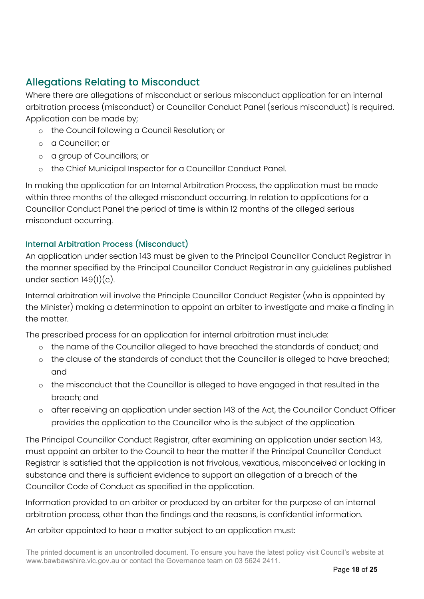# <span id="page-17-0"></span>Allegations Relating to Misconduct

Where there are allegations of misconduct or serious misconduct application for an internal arbitration process (misconduct) or Councillor Conduct Panel (serious misconduct) is required. Application can be made by;

- o the Council following a Council Resolution; or
- o a Councillor; or
- o a group of Councillors; or
- o the Chief Municipal Inspector for a Councillor Conduct Panel.

In making the application for an Internal Arbitration Process, the application must be made within three months of the alleged misconduct occurring. In relation to applications for a Councillor Conduct Panel the period of time is within 12 months of the alleged serious misconduct occurring.

### Internal Arbitration Process (Misconduct)

An application under section 143 must be given to the Principal Councillor Conduct Registrar in the manner specified by the Principal Councillor Conduct Registrar in any guidelines published under section  $149(1)(c)$ .

Internal arbitration will involve the Principle Councillor Conduct Register (who is appointed by the Minister) making a determination to appoint an arbiter to investigate and make a finding in the matter.

The prescribed process for an application for internal arbitration must include:

- o the name of the Councillor alleged to have breached the standards of conduct; and
- o the clause of the standards of conduct that the Councillor is alleged to have breached; and
- o the misconduct that the Councillor is alleged to have engaged in that resulted in the breach; and
- o after receiving an application under section 143 of the Act, the Councillor Conduct Officer provides the application to the Councillor who is the subject of the application.

The Principal Councillor Conduct Registrar, after examining an application under section 143, must appoint an arbiter to the Council to hear the matter if the Principal Councillor Conduct Registrar is satisfied that the application is not frivolous, vexatious, misconceived or lacking in substance and there is sufficient evidence to support an allegation of a breach of the Councillor Code of Conduct as specified in the application.

Information provided to an arbiter or produced by an arbiter for the purpose of an internal arbitration process, other than the findings and the reasons, is confidential information.

An arbiter appointed to hear a matter subject to an application must: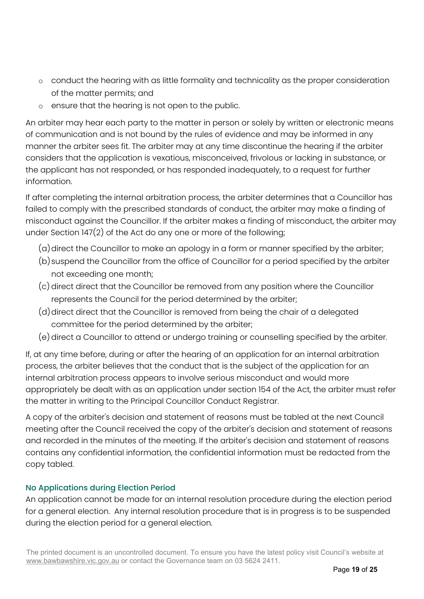- o conduct the hearing with as little formality and technicality as the proper consideration of the matter permits; and
- o ensure that the hearing is not open to the public.

An arbiter may hear each party to the matter in person or solely by written or electronic means of communication and is not bound by the rules of evidence and may be informed in any manner the arbiter sees fit. The arbiter may at any time discontinue the hearing if the arbiter considers that the application is vexatious, misconceived, frivolous or lacking in substance, or the applicant has not responded, or has responded inadequately, to a request for further information.

If after completing the internal arbitration process, the arbiter determines that a Councillor has failed to comply with the prescribed standards of conduct, the arbiter may make a finding of misconduct against the Councillor. If the arbiter makes a finding of misconduct, the arbiter may under Section 147(2) of the Act do any one or more of the following;

- $(a)$  direct the Councillor to make an apology in a form or manner specified by the arbiter;
- (b)suspend the Councillor from the office of Councillor for a period specified by the arbiter not exceeding one month;
- (c) direct direct that the Councillor be removed from any position where the Councillor represents the Council for the period determined by the arbiter;
- (d) direct direct that the Councillor is removed from being the chair of a delegated committee for the period determined by the arbiter;
- (e)direct a Councillor to attend or undergo training or counselling specified by the arbiter.

If, at any time before, during or after the hearing of an application for an internal arbitration process, the arbiter believes that the conduct that is the subject of the application for an internal arbitration process appears to involve serious misconduct and would more appropriately be dealt with as an application under section 154 of the Act, the arbiter must refer the matter in writing to the Principal Councillor Conduct Registrar.

A copy of the arbiter's decision and statement of reasons must be tabled at the next Council meeting after the Council received the copy of the arbiter's decision and statement of reasons and recorded in the minutes of the meeting. If the arbiter's decision and statement of reasons contains any confidential information, the confidential information must be redacted from the copy tabled.

### <span id="page-18-0"></span>No Applications during Election Period

An application cannot be made for an internal resolution procedure during the election period for a general election. Any internal resolution procedure that is in progress is to be suspended during the election period for a general election.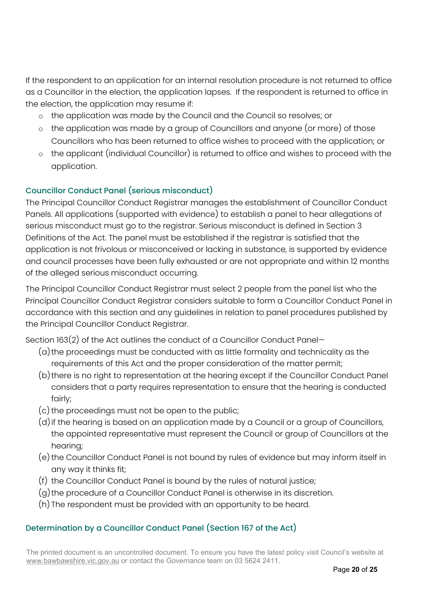If the respondent to an application for an internal resolution procedure is not returned to office as a Councillor in the election, the application lapses. If the respondent is returned to office in the election, the application may resume if:

- o the application was made by the Council and the Council so resolves; or
- o the application was made by a group of Councillors and anyone (or more) of those Councillors who has been returned to office wishes to proceed with the application; or
- o the applicant (individual Councillor) is returned to office and wishes to proceed with the application.

### Councillor Conduct Panel (serious misconduct)

The Principal Councillor Conduct Registrar manages the establishment of Councillor Conduct Panels. All applications (supported with evidence) to establish a panel to hear allegations of serious misconduct must go to the registrar. Serious misconduct is defined in Section 3 Definitions of the Act. The panel must be established if the registrar is satisfied that the application is not frivolous or misconceived or lacking in substance, is supported by evidence and council processes have been fully exhausted or are not appropriate and within 12 months of the alleged serious misconduct occurring.

The Principal Councillor Conduct Registrar must select 2 people from the panel list who the Principal Councillor Conduct Registrar considers suitable to form a Councillor Conduct Panel in accordance with this section and any guidelines in relation to panel procedures published by the Principal Councillor Conduct Registrar.

Section 163(2) of the Act outlines the conduct of a Councillor Conduct Panel—

- (a) the proceedings must be conducted with as little formality and technicality as the requirements of this Act and the proper consideration of the matter permit;
- (b) there is no right to representation at the hearing except if the Councillor Conduct Panel considers that a party requires representation to ensure that the hearing is conducted fairly;
- (c) the proceedings must not be open to the public;
- (d) if the hearing is based on an application made by a Council or a group of Councillors, the appointed representative must represent the Council or group of Councillors at the hearing;
- (e) the Councillor Conduct Panel is not bound by rules of evidence but may inform itself in any way it thinks fit;
- (f) the Councillor Conduct Panel is bound by the rules of natural justice;
- (g) the procedure of a Councillor Conduct Panel is otherwise in its discretion.
- (h) The respondent must be provided with an opportunity to be heard.

### Determination by a Councillor Conduct Panel (Section 167 of the Act)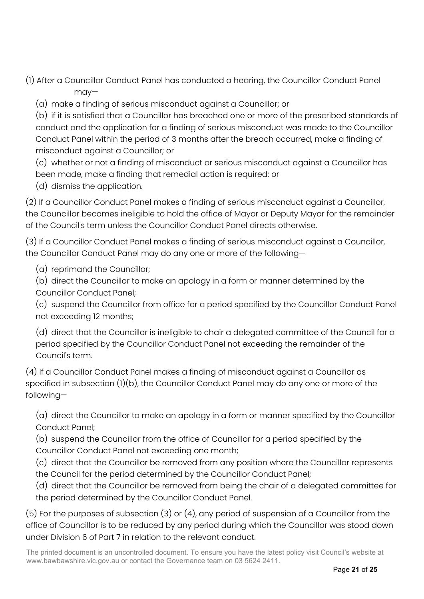- (1) After a Councillor Conduct Panel has conducted a hearing, the Councillor Conduct Panel may—
	- (a) make a finding of serious misconduct against a Councillor; or

(b) if it is satisfied that a Councillor has breached one or more of the prescribed standards of conduct and the application for a finding of serious misconduct was made to the Councillor Conduct Panel within the period of 3 months after the breach occurred, make a finding of misconduct against a Councillor; or

(c) whether or not a finding of misconduct or serious misconduct against a Councillor has been made, make a finding that remedial action is required; or

(d) dismiss the application.

(2) If a Councillor Conduct Panel makes a finding of serious misconduct against a Councillor, the Councillor becomes ineligible to hold the office of Mayor or Deputy Mayor for the remainder of the Council's term unless the Councillor Conduct Panel directs otherwise.

(3) If a Councillor Conduct Panel makes a finding of serious misconduct against a Councillor, the Councillor Conduct Panel may do any one or more of the following—

(a) reprimand the Councillor;

(b) direct the Councillor to make an apology in a form or manner determined by the Councillor Conduct Panel;

(c) suspend the Councillor from office for a period specified by the Councillor Conduct Panel not exceeding 12 months;

(d) direct that the Councillor is ineligible to chair a delegated committee of the Council for a period specified by the Councillor Conduct Panel not exceeding the remainder of the Council's term.

(4) If a Councillor Conduct Panel makes a finding of misconduct against a Councillor as specified in subsection (1)(b), the Councillor Conduct Panel may do any one or more of the following—

(a) direct the Councillor to make an apology in a form or manner specified by the Councillor Conduct Panel;

(b) suspend the Councillor from the office of Councillor for a period specified by the Councillor Conduct Panel not exceeding one month;

- (c) direct that the Councillor be removed from any position where the Councillor represents
- the Council for the period determined by the Councillor Conduct Panel;
- (d) direct that the Councillor be removed from being the chair of a delegated committee for the period determined by the Councillor Conduct Panel.

(5) For the purposes of subsection (3) or (4), any period of suspension of a Councillor from the office of Councillor is to be reduced by any period during which the Councillor was stood down under Division 6 of Part 7 in relation to the relevant conduct.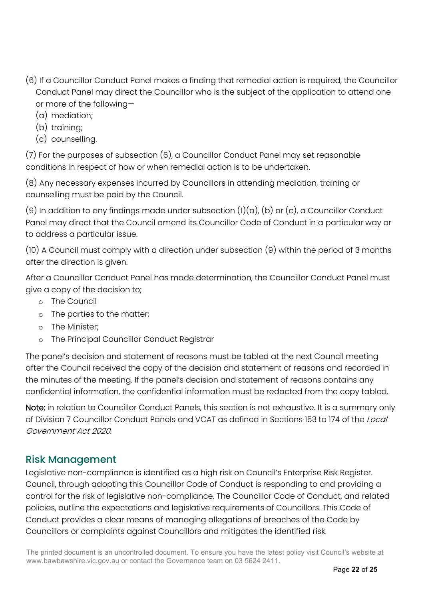- (6) If a Councillor Conduct Panel makes a finding that remedial action is required, the Councillor Conduct Panel may direct the Councillor who is the subject of the application to attend one or more of the following—
	- (a) mediation;
	- (b) training;
	- (c) counselling.

(7) For the purposes of subsection (6), a Councillor Conduct Panel may set reasonable conditions in respect of how or when remedial action is to be undertaken.

(8) Any necessary expenses incurred by Councillors in attending mediation, training or counselling must be paid by the Council.

(9) In addition to any findings made under subsection  $(l)(a)$ , (b) or (c), a Councillor Conduct Panel may direct that the Council amend its Councillor Code of Conduct in a particular way or to address a particular issue.

(10) A Council must comply with a direction under subsection (9) within the period of 3 months after the direction is given.

After a Councillor Conduct Panel has made determination, the Councillor Conduct Panel must give a copy of the decision to;

- o The Council
- o The parties to the matter;
- o The Minister;
- o The Principal Councillor Conduct Registrar

The panel's decision and statement of reasons must be tabled at the next Council meeting after the Council received the copy of the decision and statement of reasons and recorded in the minutes of the meeting. If the panel's decision and statement of reasons contains any confidential information, the confidential information must be redacted from the copy tabled.

Note: in relation to Councillor Conduct Panels, this section is not exhaustive. It is a summary only of Division 7 Councillor Conduct Panels and VCAT as defined in Sections 153 to 174 of the *Local* Government Act 2020.

### <span id="page-21-0"></span>Risk Management

Legislative non-compliance is identified as a high risk on Council's Enterprise Risk Register. Council, through adopting this Councillor Code of Conduct is responding to and providing a control for the risk of legislative non-compliance. The Councillor Code of Conduct, and related policies, outline the expectations and legislative requirements of Councillors. This Code of Conduct provides a clear means of managing allegations of breaches of the Code by Councillors or complaints against Councillors and mitigates the identified risk.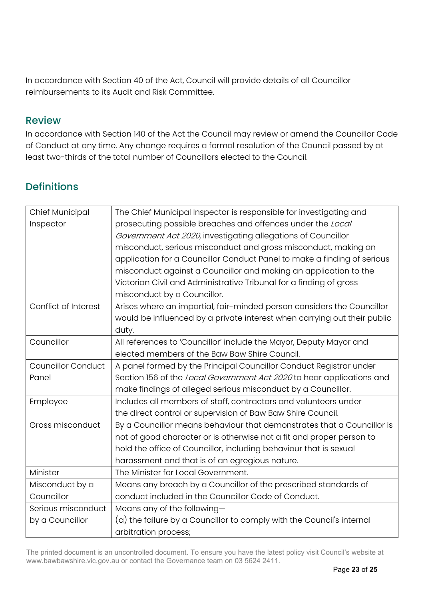In accordance with Section 40 of the Act, Council will provide details of all Councillor reimbursements to its Audit and Risk Committee.

### <span id="page-22-0"></span>Review

In accordance with Section 140 of the Act the Council may review or amend the Councillor Code of Conduct at any time. Any change requires a formal resolution of the Council passed by at least two-thirds of the total number of Councillors elected to the Council.

# <span id="page-22-1"></span>**Definitions**

| Chief Municipal           | The Chief Municipal Inspector is responsible for investigating and       |
|---------------------------|--------------------------------------------------------------------------|
| Inspector                 | prosecuting possible breaches and offences under the Local               |
|                           | Government Act 2020, investigating allegations of Councillor             |
|                           | misconduct, serious misconduct and gross misconduct, making an           |
|                           | application for a Councillor Conduct Panel to make a finding of serious  |
|                           | misconduct against a Councillor and making an application to the         |
|                           | Victorian Civil and Administrative Tribunal for a finding of gross       |
|                           | misconduct by a Councillor.                                              |
| Conflict of Interest      | Arises where an impartial, fair-minded person considers the Councillor   |
|                           | would be influenced by a private interest when carrying out their public |
|                           | duty.                                                                    |
| Councillor                | All references to 'Councillor' include the Mayor, Deputy Mayor and       |
|                           | elected members of the Baw Baw Shire Council.                            |
| <b>Councillor Conduct</b> | A panel formed by the Principal Councillor Conduct Registrar under       |
| Panel                     | Section 156 of the Local Government Act 2020 to hear applications and    |
|                           | make findings of alleged serious misconduct by a Councillor.             |
| Employee                  | Includes all members of staff, contractors and volunteers under          |
|                           | the direct control or supervision of Baw Baw Shire Council.              |
| Gross misconduct          | By a Councillor means behaviour that demonstrates that a Councillor is   |
|                           | not of good character or is otherwise not a fit and proper person to     |
|                           | hold the office of Councillor, including behaviour that is sexual        |
|                           | harassment and that is of an egregious nature.                           |
| Minister                  | The Minister for Local Government.                                       |
| Misconduct by a           | Means any breach by a Councillor of the prescribed standards of          |
| Councillor                | conduct included in the Councillor Code of Conduct.                      |
| Serious misconduct        | Means any of the following-                                              |
| by a Councillor           | (a) the failure by a Councillor to comply with the Council's internal    |
|                           | arbitration process;                                                     |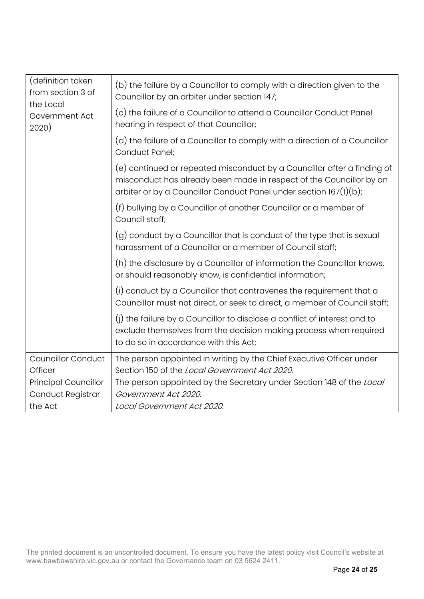| (definition taken<br>from section 3 of<br>the Local<br>Government Act<br>2020) | (b) the failure by a Councillor to comply with a direction given to the<br>Councillor by an arbiter under section 147;                                                                                              |
|--------------------------------------------------------------------------------|---------------------------------------------------------------------------------------------------------------------------------------------------------------------------------------------------------------------|
|                                                                                | (c) the failure of a Councillor to attend a Councillor Conduct Panel<br>hearing in respect of that Councillor;                                                                                                      |
|                                                                                | (d) the failure of a Councillor to comply with a direction of a Councillor<br>Conduct Panel;                                                                                                                        |
|                                                                                | (e) continued or repeated misconduct by a Councillor after a finding of<br>misconduct has already been made in respect of the Councillor by an<br>arbiter or by a Councillor Conduct Panel under section 167(1)(b); |
|                                                                                | (f) bullying by a Councillor of another Councillor or a member of<br>Council staff;                                                                                                                                 |
|                                                                                | (g) conduct by a Councillor that is conduct of the type that is sexual<br>harassment of a Councillor or a member of Council staff;                                                                                  |
|                                                                                | (h) the disclosure by a Councillor of information the Councillor knows,<br>or should reasonably know, is confidential information;                                                                                  |
|                                                                                | (i) conduct by a Councillor that contravenes the requirement that a<br>Councillor must not direct, or seek to direct, a member of Council staff;                                                                    |
|                                                                                | (i) the failure by a Councillor to disclose a conflict of interest and to<br>exclude themselves from the decision making process when required<br>to do so in accordance with this Act;                             |
| <b>Councillor Conduct</b>                                                      | The person appointed in writing by the Chief Executive Officer under                                                                                                                                                |
| Officer                                                                        | Section 150 of the Local Government Act 2020.                                                                                                                                                                       |
| <b>Principal Councillor</b>                                                    | The person appointed by the Secretary under Section 148 of the Local                                                                                                                                                |
| Conduct Registrar                                                              | Government Act 2020.                                                                                                                                                                                                |
| the Act                                                                        | Local Government Act 2020.                                                                                                                                                                                          |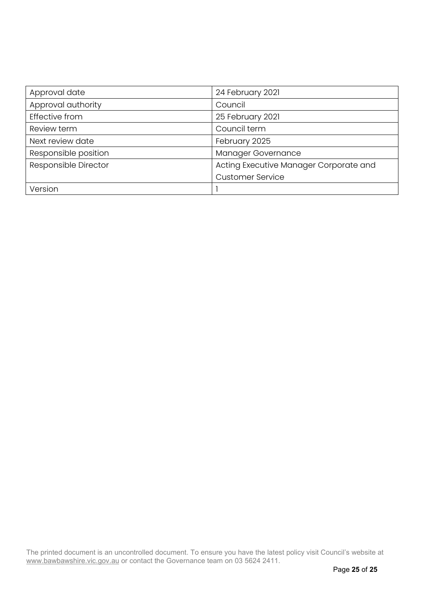| Approval date        | 24 February 2021                       |
|----------------------|----------------------------------------|
| Approval authority   | Council                                |
| Effective from       | 25 February 2021                       |
| Review term          | Council term                           |
| Next review date     | February 2025                          |
| Responsible position | Manager Governance                     |
| Responsible Director | Acting Executive Manager Corporate and |
|                      | <b>Customer Service</b>                |
| Version              |                                        |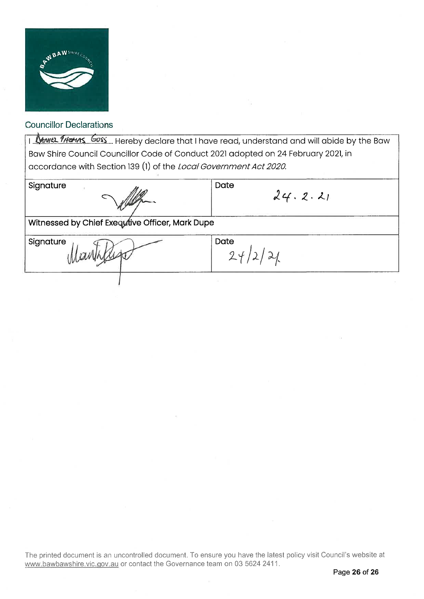

I Mayer 9/101/15 Goss Hereby declare that I have read, understand and will abide by the Baw Bow Shire Council Councillor Code of Conduct 2021 adopted on 24 February 2021, in accordance with Section 139 (1) of the Local Government Act 2020.

Signature

 $\bigcirc$ ~

**Date** 

 $24/2/21$ 

**Date** 

 $24.2.21$ 

Witnessed by Chief Exequtive Officer, Mark Dupe

 $\mathcal{U}_{\phi}$ 

**Signature**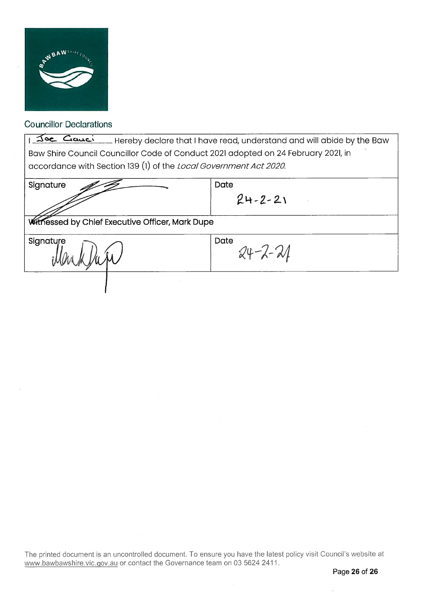

The Causing Hereby declare that I have read, understand and will abide by the Baw Baw Shire Council Councillor Code of Conduct 2021 adopted on 24 February 2021, in accordance with Section 139 (1) of the Local Government Act 2020.

| Signature                                              | Date<br>$24 - 2 - 21$ |  |
|--------------------------------------------------------|-----------------------|--|
| <b>Witnessed by Chief Executive Officer, Mark Dupe</b> |                       |  |
| Signature<br>ynyWr                                     | Date<br>$24 - 2 - 21$ |  |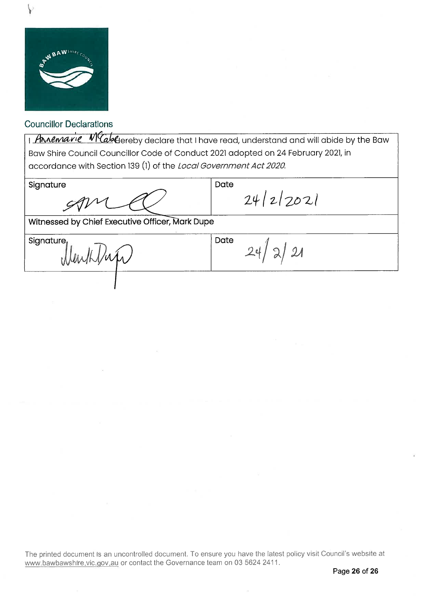

I Annemarie Makereby declare that I have read, understand and will abide by the Baw Baw Shire Council Councillor Code of Conduct 2021 adopted on 24 February 2021, in accordance with Section 139 (1) of the *Local Government Act 2020*.

Date

Signature

 $24 / 2 / 202$ 

Witnessed by Chief Executive Officer, ark Dupe

**Signature** 

Menthlup

Date  $24 / 2 / 21$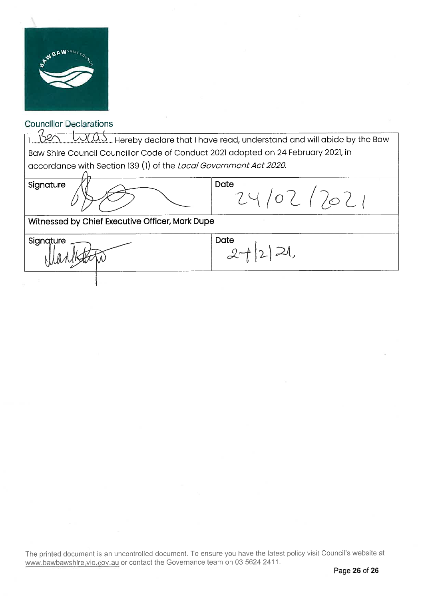

1. Bert Lugas Hereby declare that I have read, understand and will abide by the Baw Baw Shire Council Councillor Code of Conduct 2021 adopted on 24 February 2021, in accordance with Section 139 (1) of the Local Government Act2020. ..

Signature

 $\partial_{\vec{l}}$  $\varphi$  $\Rightarrow$ 

**Date**  $24/02/2021$ 

Witnessed by Chief Executive Officer, Mark Dupe

Signature arlistatio

Date  $2+|2|$ 21,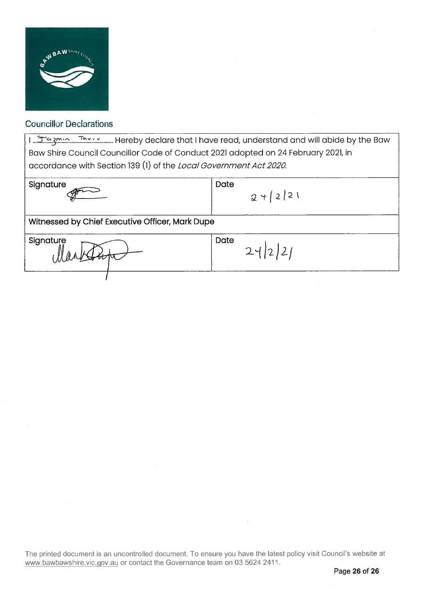

لا السنة المكترجين Hereby declare that I have read, understand and will abide by the Baw ..................... Baw Shire Council Councillor Code of Conduct 2021 adopted on 24 February 2021, in accordance with Section 139 (1) of the Local Government Act 2020.

| $2 + 221$                                       |  |  |
|-------------------------------------------------|--|--|
| Witnessed by Chief Executive Officer, Mark Dupe |  |  |
| Date<br>24 2 2                                  |  |  |
|                                                 |  |  |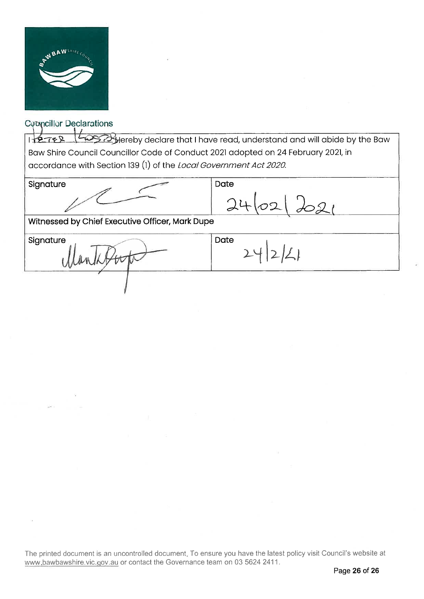

#### **Conncillor Declarations**  $\left| \cdot \right|$ , circuit  $\left| \cdot \right|$

I <del>TREER MERRIS CRI</del>NGTON declare that I have read, understand and will abide by the Baw Baw Shire Council Councillor Code of Conduct 2021 adopted on 24 February 2021, in accordance with Section 139 (1) of the Local Government Act 2020.

Date

**Signature** 

**Date**  $\alpha$ ተ $|D\lambda|$ <u>20</u>

 $2/2$ 

Witnessed by Chief Executive Officer, Mark Dupe Put

Signature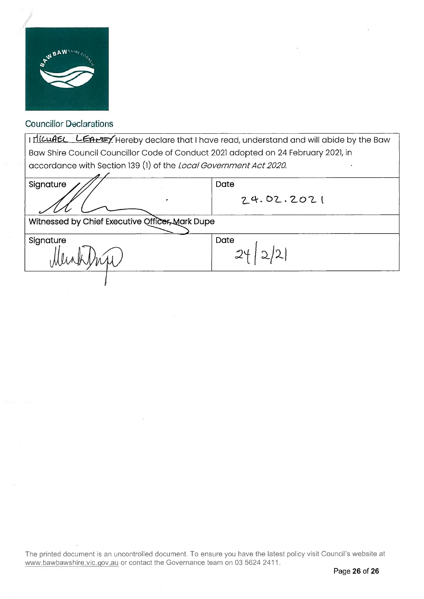

I HICUAEL LEAPEY Hereby declare that I have read, understand and will abide by the Baw Bow Shire Council Councillor Code of Conduct 2021 adopted on 24 February 2021, in accordance with Section 139 (1) of the Local Government Act 2020.

Signature Witnessed by Chief Executive Offic<del>er, M</del>ark Dupe extractions of Werd Signature . **Date**  $24.02.2021$ Date  $24 | 2 | 2 |$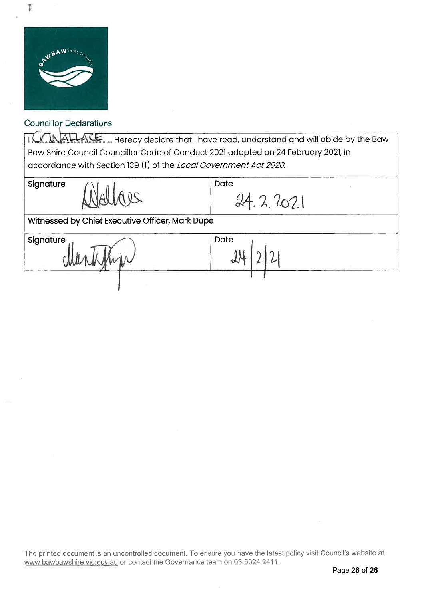

Ţ

### **Councillor Declarations**

I GAMALLACE Hereby declare that I have read, understand and will abide by the Baw Baw Shire Council Councillor Code of Conduct 2021 adopted on 24 February 2021, in accordance with Section 139 (1) of the *Local Government Act 2020*.

**Date** 

Signature

mann 4

Date 24. 2. 2021

 $21$ 

Witnessed by Chief Executive Officer, Mark Dupe

 $\mathbb{R}$ 

**Signature** 

chier

The printed document is an uncontrolled document. To ensure you have the latest policy visit Council's website at www.bawbawshire.vic.gov.au or contact the Governance team on 03 5624 2411.